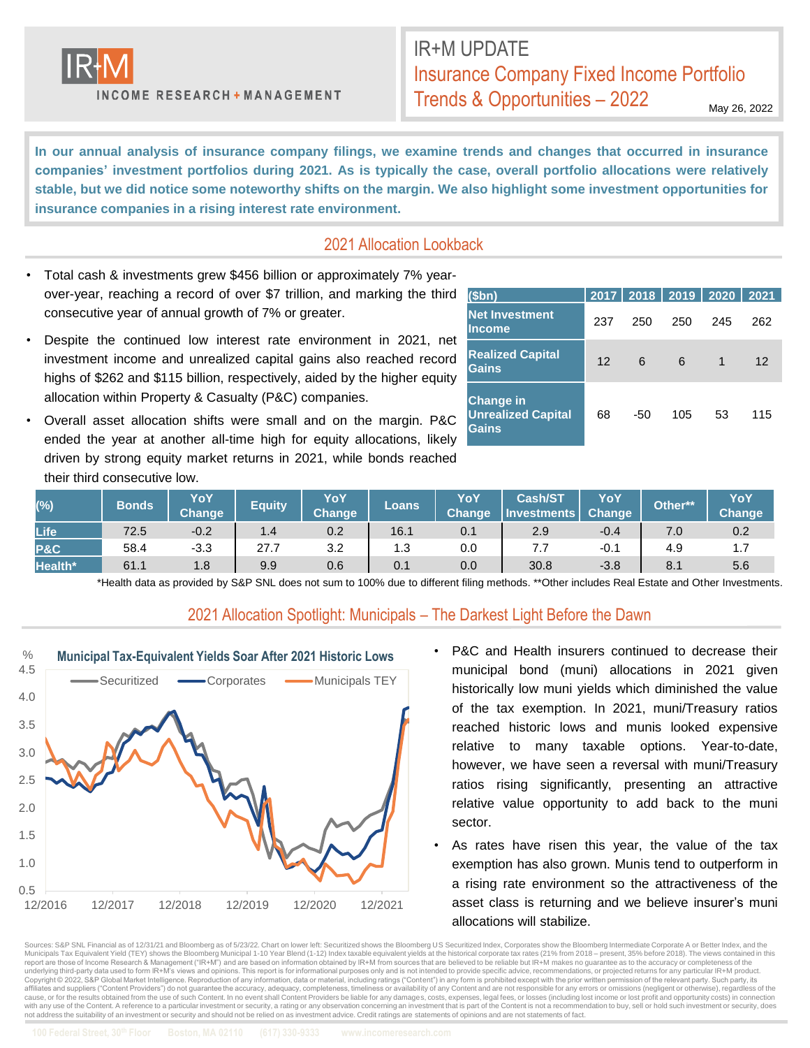

**INCOME RESEARCH + MANAGEMENT** 

# IR+M UPDATE Insurance Company Fixed Income Portfolio Trends & Opportunities – 2022

May 26, 2022

In our annual analysis of insurance company filings, we examine trends and changes that occurred in insurance **companies' investment portfolios during 2021. As is typically the case, overall portfolio allocations were relatively** stable, but we did notice some noteworthy shifts on the margin. We also highlight some investment opportunities for **insurance companies in a rising interest rate environment.**

### 2021 Allocation Lookback

- Total cash & investments grew \$456 billion or approximately 7% yearover-year, reaching a record of over \$7 trillion, and marking the third consecutive year of annual growth of 7% or greater.
- Despite the continued low interest rate environment in 2021, net investment income and unrealized capital gains also reached record highs of \$262 and \$115 billion, respectively, aided by the higher equity allocation within Property & Casualty (P&C) companies.
- Overall asset allocation shifts were small and on the margin. P&C ended the year at another all-time high for equity allocations, likely driven by strong equity market returns in 2021, while bonds reached their third consecutive low.

| (5bn)                                                         |         |     | 2017   2018   2019   2020   2021 |     |     |
|---------------------------------------------------------------|---------|-----|----------------------------------|-----|-----|
| <b>Net Investment</b><br>llncome                              | 237     | 250 | 250                              | 245 | 262 |
| <b>Realized Capital</b><br>Gains                              | $12 \,$ | 6   | 6                                | 1   | 12  |
| <b>Change in</b><br><b>Unrealized Capital</b><br><b>Gains</b> | 68      | -50 | 105                              | 53  | 115 |

| $(\%)$         | <b>Bonds</b> | YoY<br><b>Change</b> | <b>Equity</b> | YoY<br>Change | Loans | YoY<br><b>Change</b> | <b>Cash/ST</b><br>Investments | YoY<br>Change | Other** | YoY<br>Change |
|----------------|--------------|----------------------|---------------|---------------|-------|----------------------|-------------------------------|---------------|---------|---------------|
| Life           | 72.5         | $-0.2$               | 1.4           | 0.2           | 16.1  | 0.1                  | 2.9                           | $-0.4$        |         | 0.2           |
| <b>P&amp;C</b> | 58.4         | $-3.3$               | 27.7          | 3.2           | 1.3   | 0.0                  |                               | $-0.1$        | 4.9     | $\cdots$      |
| Health*        | 61.1         | 1.8                  | 9.9           | 0.6           | 0.1   | 0.0                  | 30.8                          | $-3.8$        | 8.1     | 5.6           |

\*Health data as provided by S&P SNL does not sum to 100% due to different filing methods. \*\*Other includes Real Estate and Other Investments.

#### 2021 Allocation Spotlight: Municipals – The Darkest Light Before the Dawn



- P&C and Health insurers continued to decrease their municipal bond (muni) allocations in 2021 given historically low muni yields which diminished the value of the tax exemption. In 2021, muni/Treasury ratios reached historic lows and munis looked expensive relative to many taxable options. Year-to-date, however, we have seen a reversal with muni/Treasury ratios rising significantly, presenting an attractive relative value opportunity to add back to the muni sector.
- As rates have risen this year, the value of the tax exemption has also grown. Munis tend to outperform in a rising rate environment so the attractiveness of the asset class is returning and we believe insurer's muni allocations will stabilize.

Sources: S&P SNL Financial as of 12/31/21 and Bloomberg as of 5/23/22. Chart on lower left: Securitized shows the Bloomberg US Securitized Index, Corporates show the Bloomberg Intermediate Corporate A or Better Index, and Municipals Tax Equivalent Yield (TEY) shows the Bloomberg Municipal 1-10 Year Blend (1-12) Index taxable equivalent yields at the historical corporate tax rates (21% from 2018 – present, 35% before 2018). The views contain underlying third-party data used to form IR+M's views and opinions. This report is for informational purposes only and is not intended to provide specific advice, recommendations, or projected returns for any particular IR Copyright @ 2022, S&P Global Market Intelligence. Reproduction of any information, data or material, including ratings ("Content") in any form is prohibited except with the prior written permission of the relevant party. S expressions of the material contracts and application of the contracts of the contracts of the accuracy, deep accuracy, completeness, imeliness or availability of any Content and are not responsible for any errors or omiss cause, or for the results obtained from the use of such Content. In no event shall Content Providers be liable for any damages, costs, expenses, legal fees, or losses (including lost income or lost profit and opportunity c not address the suitability of an investment or security and should not be relied on as investment advice. Credit ratings are statements of opinions and are not statements of fact.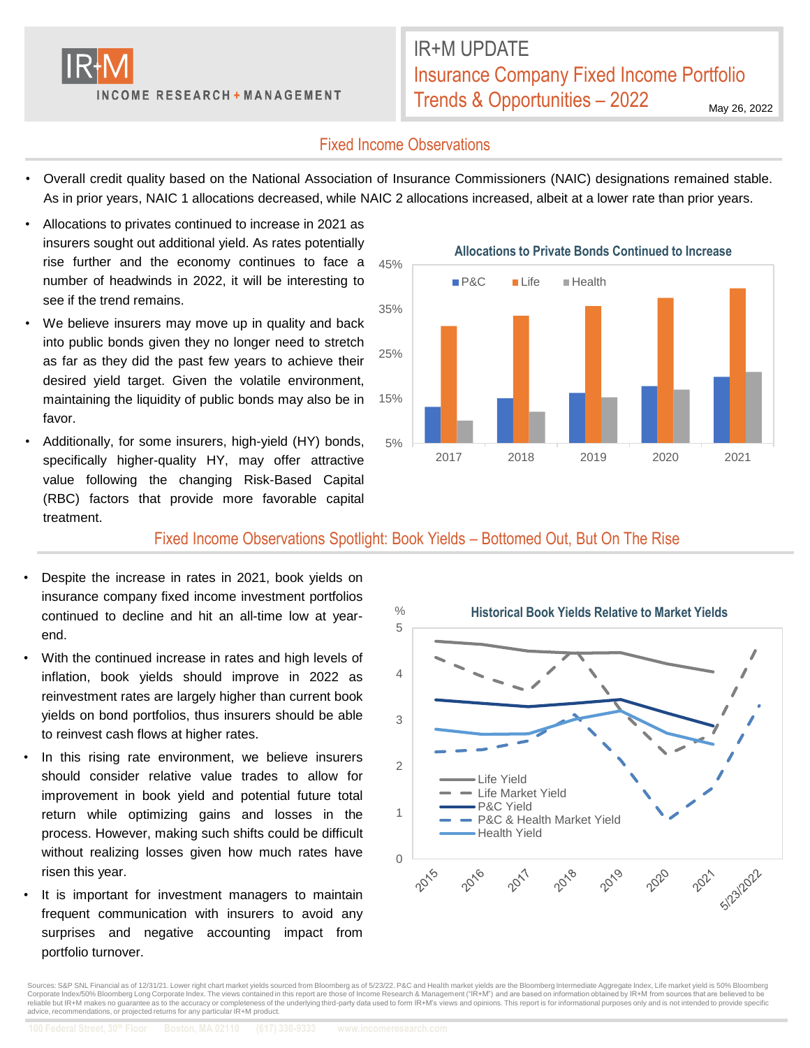

IR+M UPDATE Insurance Company Fixed Income Portfolio Trends & Opportunities – 2022

May 26, 2022

## Fixed Income Observations

- Overall credit quality based on the National Association of Insurance Commissioners (NAIC) designations remained stable. As in prior years, NAIC 1 allocations decreased, while NAIC 2 allocations increased, albeit at a lower rate than prior years.
- Allocations to privates continued to increase in 2021 as insurers sought out additional yield. As rates potentially rise further and the economy continues to face a number of headwinds in 2022, it will be interesting to see if the trend remains.
- We believe insurers may move up in quality and back into public bonds given they no longer need to stretch as far as they did the past few years to achieve their desired yield target. Given the volatile environment, maintaining the liquidity of public bonds may also be in favor.
- Additionally, for some insurers, high-yield (HY) bonds, specifically higher-quality HY, may offer attractive value following the changing Risk-Based Capital (RBC) factors that provide more favorable capital treatment.



Fixed Income Observations Spotlight: Book Yields – Bottomed Out, But On The Rise

- Despite the increase in rates in 2021, book yields on insurance company fixed income investment portfolios continued to decline and hit an all-time low at yearend.
- With the continued increase in rates and high levels of inflation, book yields should improve in 2022 as reinvestment rates are largely higher than current book yields on bond portfolios, thus insurers should be able to reinvest cash flows at higher rates.
- In this rising rate environment, we believe insurers should consider relative value trades to allow for improvement in book yield and potential future total return while optimizing gains and losses in the process. However, making such shifts could be difficult without realizing losses given how much rates have risen this year.
- It is important for investment managers to maintain frequent communication with insurers to avoid any surprises and negative accounting impact from portfolio turnover.



Sources: S&P SNL Financial as of 12/31/21. Lower right chart market yields sourced from Bloomberg as of 5/23/22. P&C and Health market yields are the Bloomberg Intermediate Aggregate Index, Life market yield is 50% Bloombe Corporate Index/50% Bloomberg Long Corporate Index. The views contained in this report are those of Income Research & Management ("IR+M") and are based on information obtained by IR+M from sources that are believed to be<br>r advice, recommendations, or projected returns for any particular IR+M product.